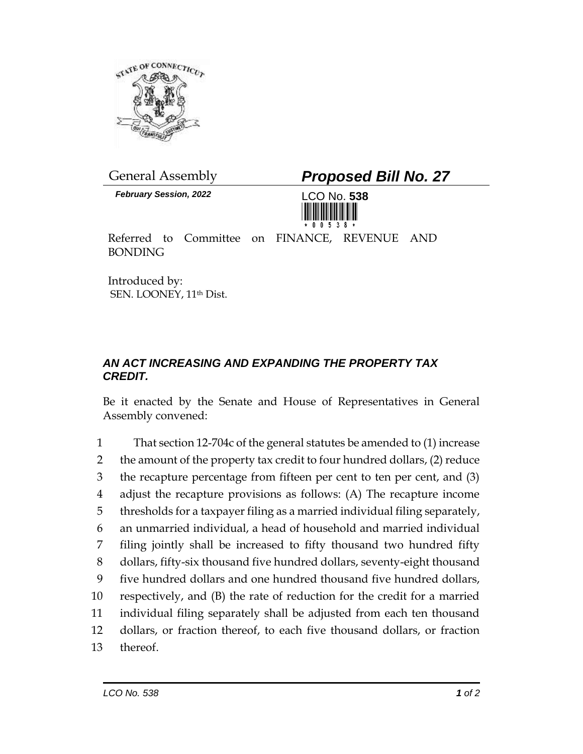

*February Session, 2022* LCO No. **538**

General Assembly *Proposed Bill No. 27*



Referred to Committee on FINANCE, REVENUE AND BONDING

Introduced by: SEN. LOONEY, 11<sup>th</sup> Dist.

## *AN ACT INCREASING AND EXPANDING THE PROPERTY TAX CREDIT.*

Be it enacted by the Senate and House of Representatives in General Assembly convened:

 That section 12-704c of the general statutes be amended to (1) increase 2 the amount of the property tax credit to four hundred dollars, (2) reduce the recapture percentage from fifteen per cent to ten per cent, and (3) adjust the recapture provisions as follows: (A) The recapture income thresholds for a taxpayer filing as a married individual filing separately, an unmarried individual, a head of household and married individual filing jointly shall be increased to fifty thousand two hundred fifty dollars, fifty-six thousand five hundred dollars, seventy-eight thousand five hundred dollars and one hundred thousand five hundred dollars, respectively, and (B) the rate of reduction for the credit for a married individual filing separately shall be adjusted from each ten thousand dollars, or fraction thereof, to each five thousand dollars, or fraction 13 thereof.